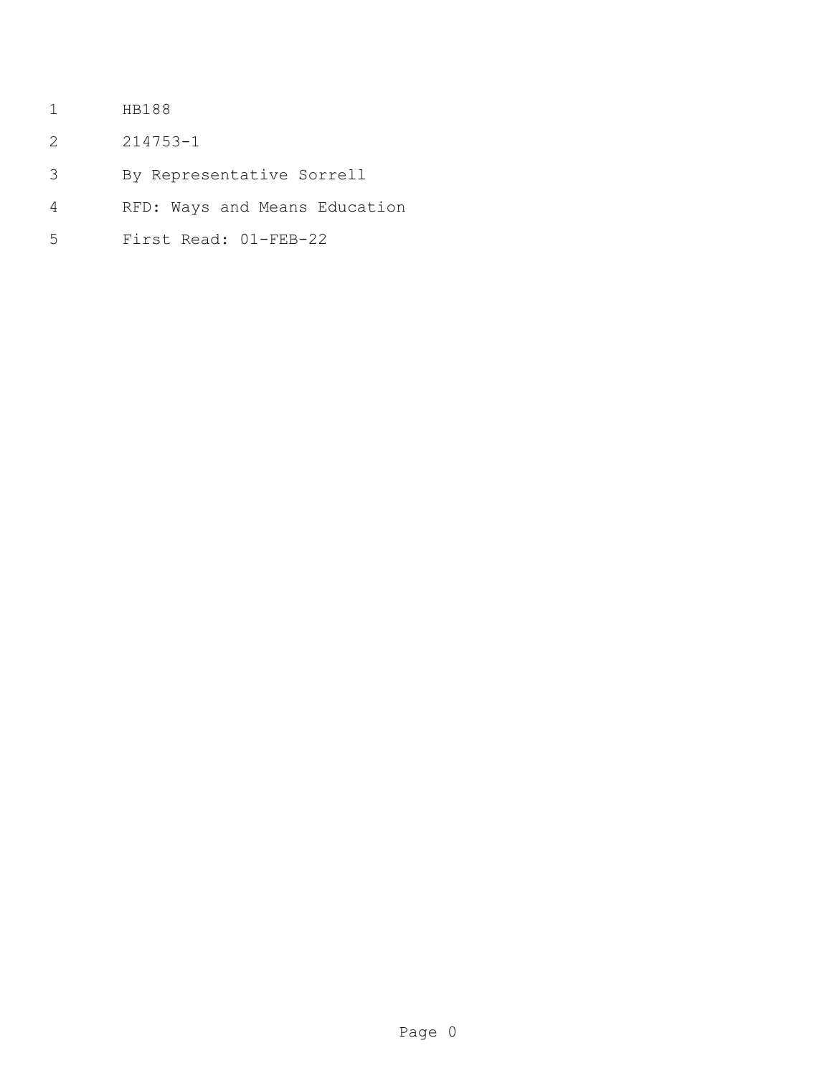- HB188
- 214753-1
- By Representative Sorrell
- RFD: Ways and Means Education
- First Read: 01-FEB-22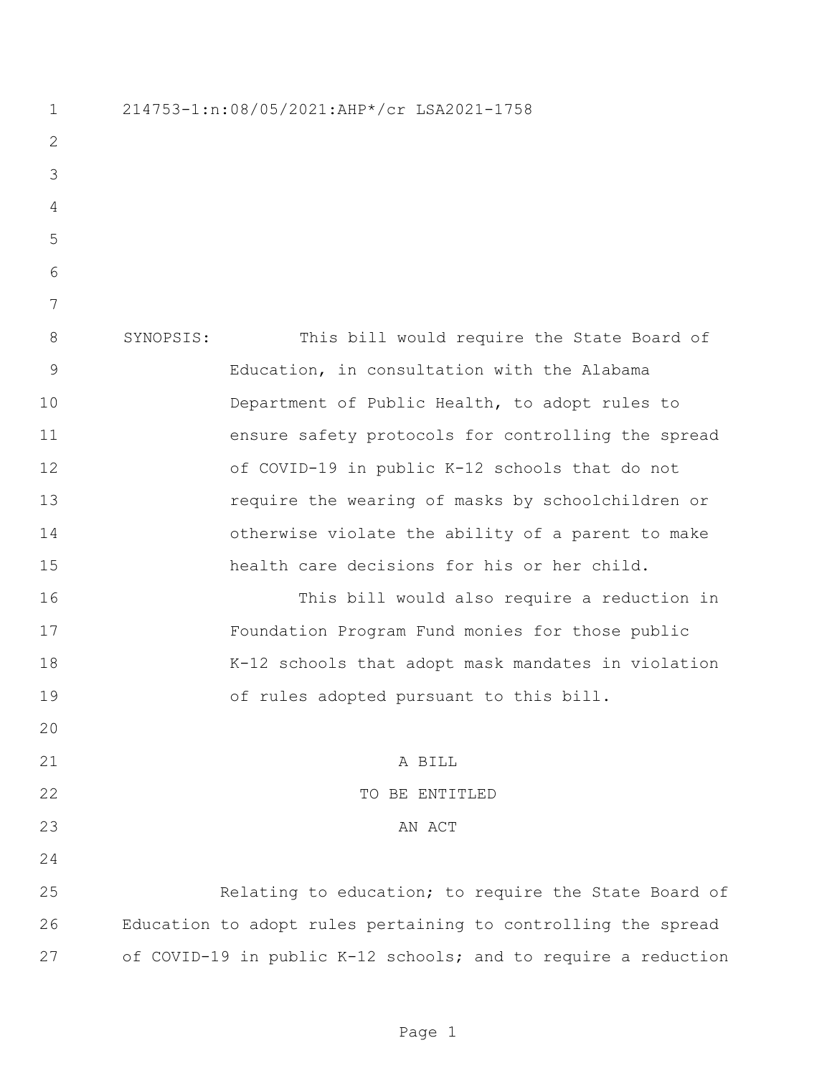214753-1:n:08/05/2021:AHP\*/cr LSA2021-1758 SYNOPSIS: This bill would require the State Board of Education, in consultation with the Alabama Department of Public Health, to adopt rules to ensure safety protocols for controlling the spread of COVID-19 in public K-12 schools that do not require the wearing of masks by schoolchildren or otherwise violate the ability of a parent to make health care decisions for his or her child. This bill would also require a reduction in Foundation Program Fund monies for those public K-12 schools that adopt mask mandates in violation of rules adopted pursuant to this bill. 21 A BILL 22 TO BE ENTITLED 23 AN ACT Relating to education; to require the State Board of Education to adopt rules pertaining to controlling the spread of COVID-19 in public K-12 schools; and to require a reduction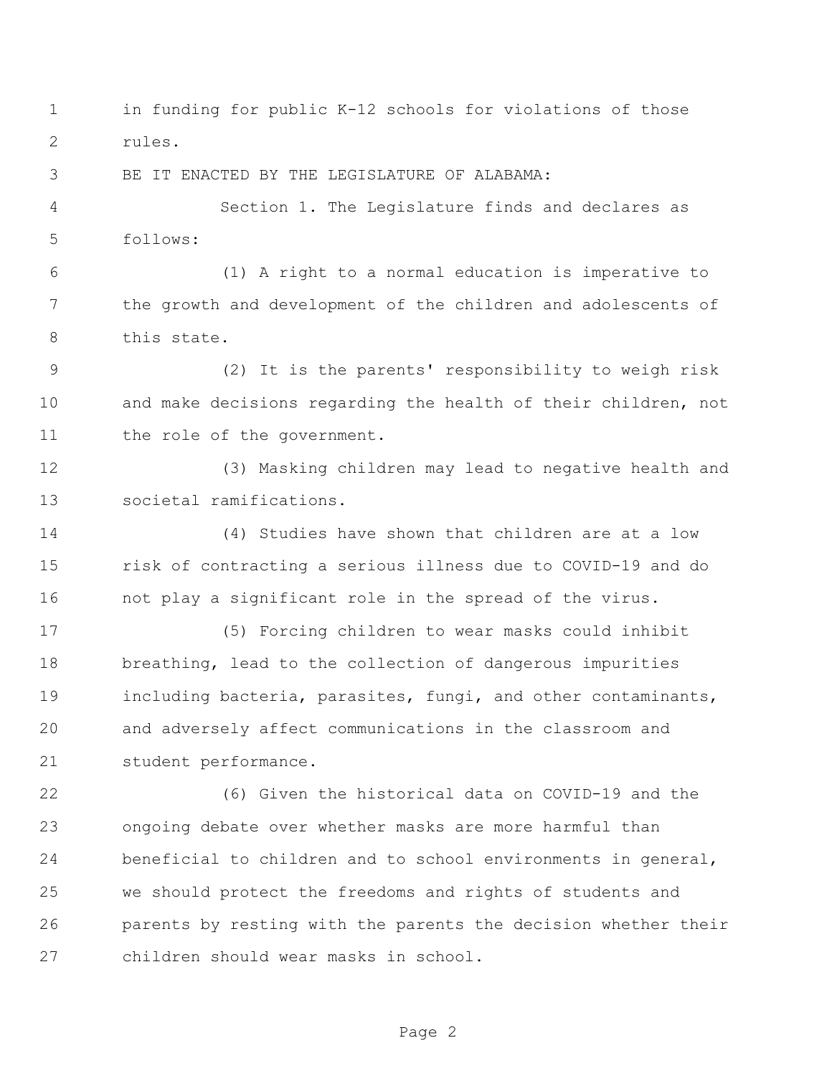in funding for public K-12 schools for violations of those rules. BE IT ENACTED BY THE LEGISLATURE OF ALABAMA: Section 1. The Legislature finds and declares as follows: (1) A right to a normal education is imperative to the growth and development of the children and adolescents of this state. (2) It is the parents' responsibility to weigh risk and make decisions regarding the health of their children, not 11 the role of the government. (3) Masking children may lead to negative health and societal ramifications. (4) Studies have shown that children are at a low risk of contracting a serious illness due to COVID-19 and do not play a significant role in the spread of the virus. (5) Forcing children to wear masks could inhibit breathing, lead to the collection of dangerous impurities including bacteria, parasites, fungi, and other contaminants, and adversely affect communications in the classroom and student performance. (6) Given the historical data on COVID-19 and the ongoing debate over whether masks are more harmful than beneficial to children and to school environments in general, we should protect the freedoms and rights of students and parents by resting with the parents the decision whether their children should wear masks in school.

Page 2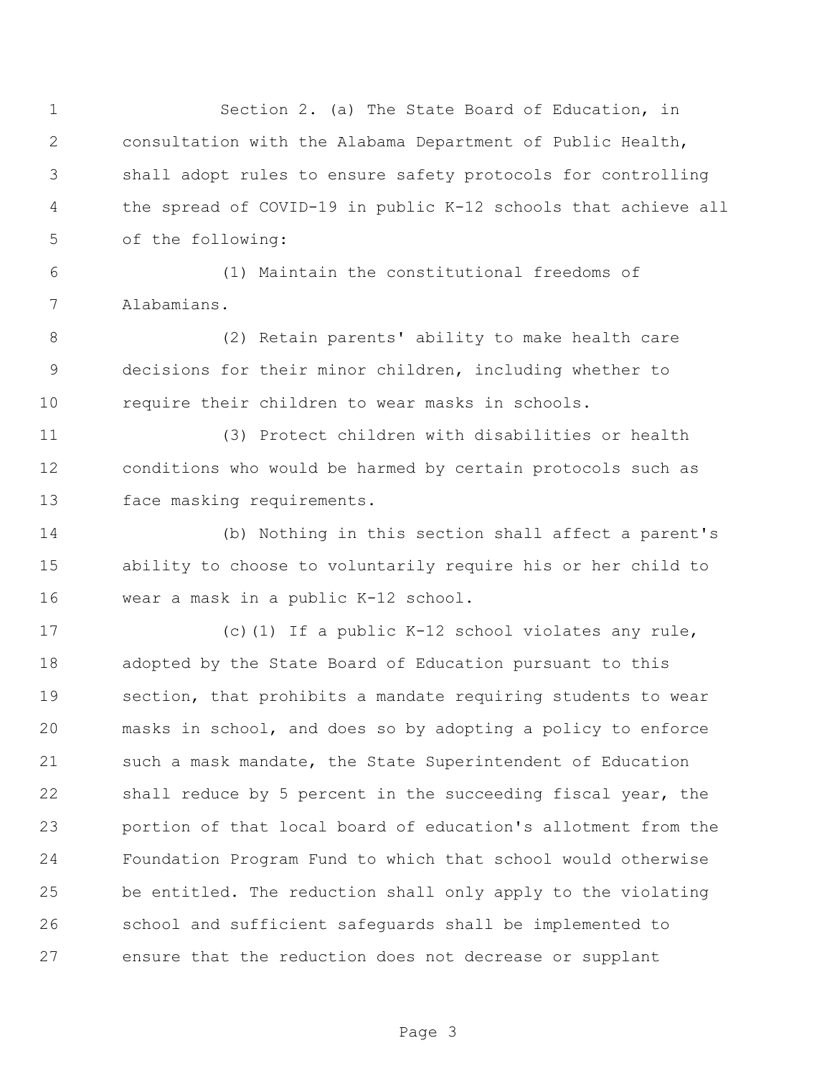Section 2. (a) The State Board of Education, in consultation with the Alabama Department of Public Health, shall adopt rules to ensure safety protocols for controlling the spread of COVID-19 in public K-12 schools that achieve all of the following: (1) Maintain the constitutional freedoms of Alabamians. (2) Retain parents' ability to make health care decisions for their minor children, including whether to require their children to wear masks in schools. (3) Protect children with disabilities or health conditions who would be harmed by certain protocols such as face masking requirements. (b) Nothing in this section shall affect a parent's ability to choose to voluntarily require his or her child to wear a mask in a public K-12 school. (c)(1) If a public K-12 school violates any rule, adopted by the State Board of Education pursuant to this section, that prohibits a mandate requiring students to wear masks in school, and does so by adopting a policy to enforce such a mask mandate, the State Superintendent of Education shall reduce by 5 percent in the succeeding fiscal year, the portion of that local board of education's allotment from the Foundation Program Fund to which that school would otherwise be entitled. The reduction shall only apply to the violating school and sufficient safeguards shall be implemented to ensure that the reduction does not decrease or supplant